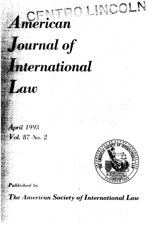

## **Journal of**

## **International**

Law

**April 1993 Vol.** 87 No. 2



 $\bm{P}$ ublished by

The American Society of International Law